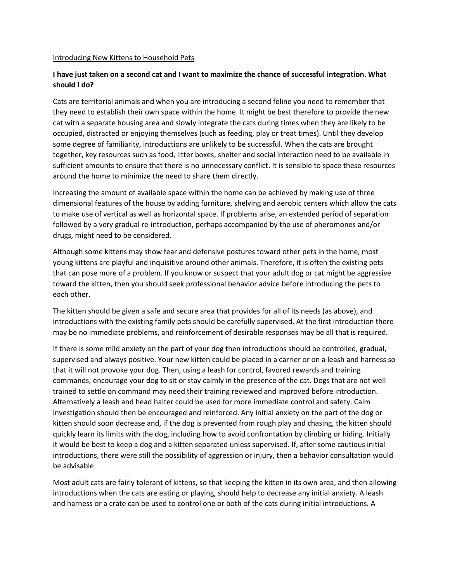#### Introducing New Kittens to Household Pets

# **I have just taken on a second cat and I want to maximize the chance of successful integration. What should I do?**

Cats are territorial animals and when you are introducing a second feline you need to remember that they need to establish their own space within the home. It might be best therefore to provide the new cat with a separate housing area and slowly integrate the cats during times when they are likely to be occupied, distracted or enjoying themselves (such as feeding, play or treat times). Until they develop some degree of familiarity, introductions are unlikely to be successful. When the cats are brought together, key resources such as food, litter boxes, shelter and social interaction need to be available in sufficient amounts to ensure that there is no unnecessary conflict. It is sensible to space these resources around the home to minimize the need to share them directly.

Increasing the amount of available space within the home can be achieved by making use of three dimensional features of the house by adding furniture, shelving and aerobic centers which allow the cats to make use of vertical as well as horizontal space. If problems arise, an extended period of separation followed by a very gradual re-introduction, perhaps accompanied by the use of pheromones and/or drugs, might need to be considered.

Although some kittens may show fear and defensive postures toward other pets in the home, most young kittens are playful and inquisitive around other animals. Therefore, it is often the existing pets that can pose more of a problem. If you know or suspect that your adult dog or cat might be aggressive toward the kitten, then you should seek professional behavior advice before introducing the pets to each other.

The kitten should be given a safe and secure area that provides for all of its needs (as above), and introductions with the existing family pets should be carefully supervised. At the first introduction there may be no immediate problems, and reinforcement of desirable responses may be all that is required.

If there is some mild anxiety on the part of your dog then introductions should be controlled, gradual, supervised and always positive. Your new kitten could be placed in a carrier or on a leash and harness so that it will not provoke your dog. Then, using a leash for control, favored rewards and training commands, encourage your dog to sit or stay calmly in the presence of the cat. Dogs that are not well trained to settle on command may need their training reviewed and improved before introduction. Alternatively a leash and head halter could be used for more immediate control and safety. Calm investigation should then be encouraged and reinforced. Any initial anxiety on the part of the dog or kitten should soon decrease and, if the dog is prevented from rough play and chasing, the kitten should quickly learn its limits with the dog, including how to avoid confrontation by climbing or hiding. Initially it would be best to keep a dog and a kitten separated unless supervised. If, after some cautious initial introductions, there were still the possibility of aggression or injury, then a behavior consultation would be advisable

Most adult cats are fairly tolerant of kittens, so that keeping the kitten in its own area, and then allowing introductions when the cats are eating or playing, should help to decrease any initial anxiety. A leash and harness or a crate can be used to control one or both of the cats during initial introductions. A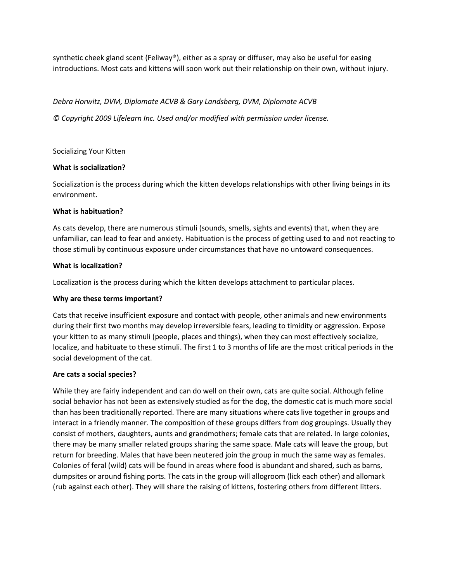synthetic cheek gland scent (Feliway®), either as a spray or diffuser, may also be useful for easing introductions. Most cats and kittens will soon work out their relationship on their own, without injury.

*Debra Horwitz, DVM, Diplomate ACVB & Gary Landsberg, DVM, Diplomate ACVB © Copyright 2009 Lifelearn Inc. Used and/or modified with permission under license.*

# Socializing Your Kitten

### **What is socialization?**

Socialization is the process during which the kitten develops relationships with other living beings in its environment.

### **What is habituation?**

As cats develop, there are numerous stimuli (sounds, smells, sights and events) that, when they are unfamiliar, can lead to fear and anxiety. Habituation is the process of getting used to and not reacting to those stimuli by continuous exposure under circumstances that have no untoward consequences.

### **What is localization?**

Localization is the process during which the kitten develops attachment to particular places.

#### **Why are these terms important?**

Cats that receive insufficient exposure and contact with people, other animals and new environments during their first two months may develop irreversible fears, leading to timidity or aggression. Expose your kitten to as many stimuli (people, places and things), when they can most effectively socialize, localize, and habituate to these stimuli. The first 1 to 3 months of life are the most critical periods in the social development of the cat.

#### **Are cats a social species?**

While they are fairly independent and can do well on their own, cats are quite social. Although feline social behavior has not been as extensively studied as for the dog, the domestic cat is much more social than has been traditionally reported. There are many situations where cats live together in groups and interact in a friendly manner. The composition of these groups differs from dog groupings. Usually they consist of mothers, daughters, aunts and grandmothers; female cats that are related. In large colonies, there may be many smaller related groups sharing the same space. Male cats will leave the group, but return for breeding. Males that have been neutered join the group in much the same way as females. Colonies of feral (wild) cats will be found in areas where food is abundant and shared, such as barns, dumpsites or around fishing ports. The cats in the group will allogroom (lick each other) and allomark (rub against each other). They will share the raising of kittens, fostering others from different litters.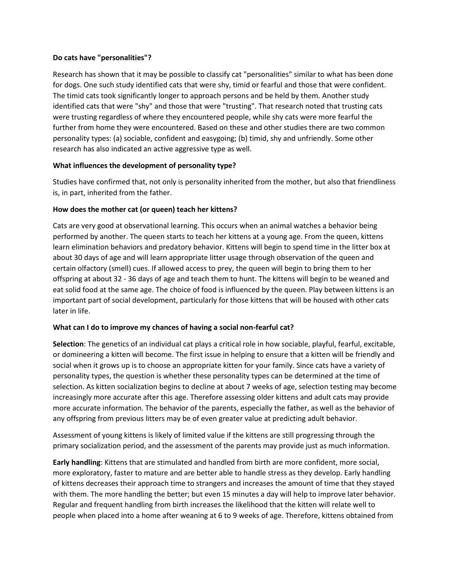# **Do cats have "personalities"?**

Research has shown that it may be possible to classify cat "personalities" similar to what has been done for dogs. One such study identified cats that were shy, timid or fearful and those that were confident. The timid cats took significantly longer to approach persons and be held by them. Another study identified cats that were "shy" and those that were "trusting". That research noted that trusting cats were trusting regardless of where they encountered people, while shy cats were more fearful the further from home they were encountered. Based on these and other studies there are two common personality types: (a) sociable, confident and easygoing; (b) timid, shy and unfriendly. Some other research has also indicated an active aggressive type as well.

# **What influences the development of personality type?**

Studies have confirmed that, not only is personality inherited from the mother, but also that friendliness is, in part, inherited from the father.

### **How does the mother cat (or queen) teach her kittens?**

Cats are very good at observational learning. This occurs when an animal watches a behavior being performed by another. The queen starts to teach her kittens at a young age. From the queen, kittens learn elimination behaviors and predatory behavior. Kittens will begin to spend time in the litter box at about 30 days of age and will learn appropriate litter usage through observation of the queen and certain olfactory (smell) cues. If allowed access to prey, the queen will begin to bring them to her offspring at about 32 - 36 days of age and teach them to hunt. The kittens will begin to be weaned and eat solid food at the same age. The choice of food is influenced by the queen. Play between kittens is an important part of social development, particularly for those kittens that will be housed with other cats later in life.

# **What can I do to improve my chances of having a social non-fearful cat?**

**Selection**: The genetics of an individual cat plays a critical role in how sociable, playful, fearful, excitable, or domineering a kitten will become. The first issue in helping to ensure that a kitten will be friendly and social when it grows up is to choose an appropriate kitten for your family. Since cats have a variety of personality types, the question is whether these personality types can be determined at the time of selection. As kitten socialization begins to decline at about 7 weeks of age, selection testing may become increasingly more accurate after this age. Therefore assessing older kittens and adult cats may provide more accurate information. The behavior of the parents, especially the father, as well as the behavior of any offspring from previous litters may be of even greater value at predicting adult behavior.

Assessment of young kittens is likely of limited value if the kittens are still progressing through the primary socialization period, and the assessment of the parents may provide just as much information.

**Early handling**: Kittens that are stimulated and handled from birth are more confident, more social, more exploratory, faster to mature and are better able to handle stress as they develop. Early handling of kittens decreases their approach time to strangers and increases the amount of time that they stayed with them. The more handling the better; but even 15 minutes a day will help to improve later behavior. Regular and frequent handling from birth increases the likelihood that the kitten will relate well to people when placed into a home after weaning at 6 to 9 weeks of age. Therefore, kittens obtained from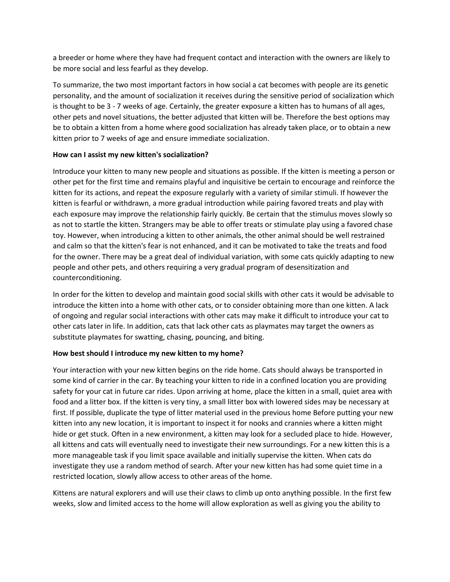a breeder or home where they have had frequent contact and interaction with the owners are likely to be more social and less fearful as they develop.

To summarize, the two most important factors in how social a cat becomes with people are its genetic personality, and the amount of socialization it receives during the sensitive period of socialization which is thought to be 3 - 7 weeks of age. Certainly, the greater exposure a kitten has to humans of all ages, other pets and novel situations, the better adjusted that kitten will be. Therefore the best options may be to obtain a kitten from a home where good socialization has already taken place, or to obtain a new kitten prior to 7 weeks of age and ensure immediate socialization.

# **How can I assist my new kitten's socialization?**

Introduce your kitten to many new people and situations as possible. If the kitten is meeting a person or other pet for the first time and remains playful and inquisitive be certain to encourage and reinforce the kitten for its actions, and repeat the exposure regularly with a variety of similar stimuli. If however the kitten is fearful or withdrawn, a more gradual introduction while pairing favored treats and play with each exposure may improve the relationship fairly quickly. Be certain that the stimulus moves slowly so as not to startle the kitten. Strangers may be able to offer treats or stimulate play using a favored chase toy. However, when introducing a kitten to other animals, the other animal should be well restrained and calm so that the kitten's fear is not enhanced, and it can be motivated to take the treats and food for the owner. There may be a great deal of individual variation, with some cats quickly adapting to new people and other pets, and others requiring a very gradual program of desensitization and counterconditioning.

In order for the kitten to develop and maintain good social skills with other cats it would be advisable to introduce the kitten into a home with other cats, or to consider obtaining more than one kitten. A lack of ongoing and regular social interactions with other cats may make it difficult to introduce your cat to other cats later in life. In addition, cats that lack other cats as playmates may target the owners as substitute playmates for swatting, chasing, pouncing, and biting.

# **How best should I introduce my new kitten to my home?**

Your interaction with your new kitten begins on the ride home. Cats should always be transported in some kind of carrier in the car. By teaching your kitten to ride in a confined location you are providing safety for your cat in future car rides. Upon arriving at home, place the kitten in a small, quiet area with food and a litter box. If the kitten is very tiny, a small litter box with lowered sides may be necessary at first. If possible, duplicate the type of litter material used in the previous home Before putting your new kitten into any new location, it is important to inspect it for nooks and crannies where a kitten might hide or get stuck. Often in a new environment, a kitten may look for a secluded place to hide. However, all kittens and cats will eventually need to investigate their new surroundings. For a new kitten this is a more manageable task if you limit space available and initially supervise the kitten. When cats do investigate they use a random method of search. After your new kitten has had some quiet time in a restricted location, slowly allow access to other areas of the home.

Kittens are natural explorers and will use their claws to climb up onto anything possible. In the first few weeks, slow and limited access to the home will allow exploration as well as giving you the ability to